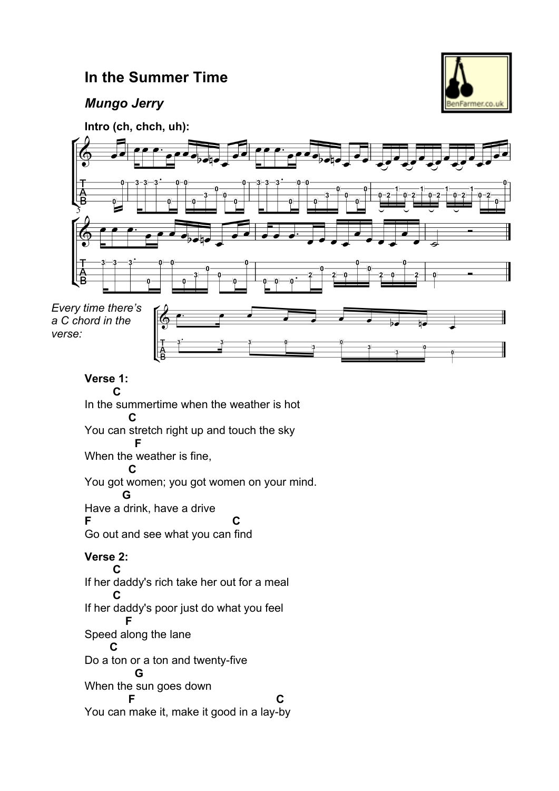## **In the Summer Time**





**Intro (ch, chch, uh):**

*Every time there's a C chord in the verse:*

**Verse 1:** 

 **C**  In the summertime when the weather is hot  **C** You can stretch right up and touch the sky  **F** When the weather is fine,  **C** You got women; you got women on your mind.  **G** Have a drink, have a drive **F C**

Go out and see what you can find

#### **Verse 2:**

 **C** If her daddy's rich take her out for a meal  **C** If her daddy's poor just do what you feel  **F** Speed along the lane  **C** Do a ton or a ton and twenty-five  **G** When the sun goes down **F** C You can make it, make it good in a lay-by